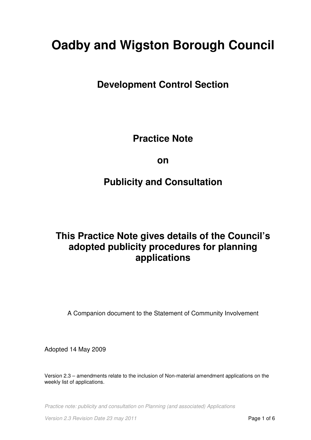# **Oadby and Wigston Borough Council**

**Development Control Section**

**Practice Note** 

**on** 

# **Publicity and Consultation**

# **This Practice Note gives details of the Council's adopted publicity procedures for planning applications**

A Companion document to the Statement of Community Involvement

Adopted 14 May 2009

Version 2.3 – amendments relate to the inclusion of Non-material amendment applications on the weekly list of applications.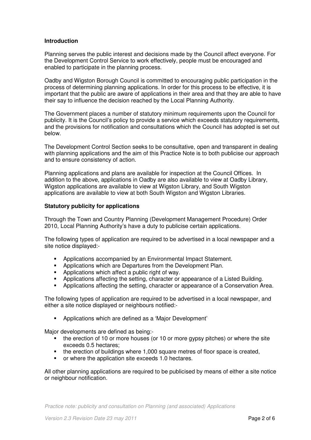# **Introduction**

Planning serves the public interest and decisions made by the Council affect everyone. For the Development Control Service to work effectively, people must be encouraged and enabled to participate in the planning process.

Oadby and Wigston Borough Council is committed to encouraging public participation in the process of determining planning applications. In order for this process to be effective, it is important that the public are aware of applications in their area and that they are able to have their say to influence the decision reached by the Local Planning Authority.

The Government places a number of statutory minimum requirements upon the Council for publicity. It is the Council's policy to provide a service which exceeds statutory requirements, and the provisions for notification and consultations which the Council has adopted is set out below.

The Development Control Section seeks to be consultative, open and transparent in dealing with planning applications and the aim of this Practice Note is to both publicise our approach and to ensure consistency of action.

Planning applications and plans are available for inspection at the Council Offices. In addition to the above, applications in Oadby are also available to view at Oadby Library, Wigston applications are available to view at Wigston Library, and South Wigston applications are available to view at both South Wigston and Wigston Libraries.

# **Statutory publicity for applications**

Through the Town and Country Planning (Development Management Procedure) Order 2010, Local Planning Authority's have a duty to publicise certain applications.

The following types of application are required to be advertised in a local newspaper and a site notice displayed:-

- **-** Applications accompanied by an Environmental Impact Statement.
- **Applications which are Departures from the Development Plan.**
- Applications which affect a public right of way.
- **Applications affecting the setting, character or appearance of a Listed Building.**
- Applications affecting the setting, character or appearance of a Conservation Area.

The following types of application are required to be advertised in a local newspaper, and either a site notice displayed or neighbours notified:-

Applications which are defined as a 'Major Development'

Major developments are defined as being:-

- the erection of 10 or more houses (or 10 or more gypsy pitches) or where the site exceeds 0.5 hectares;
- the erection of buildings where 1,000 square metres of floor space is created,
- or where the application site exceeds 1.0 hectares.

All other planning applications are required to be publicised by means of either a site notice or neighbour notification.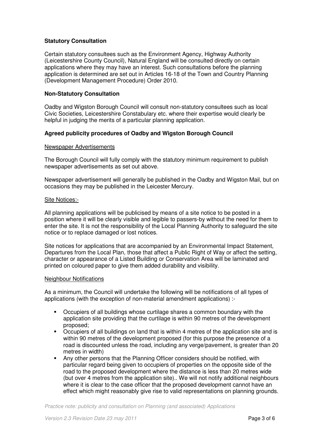# **Statutory Consultation**

Certain statutory consultees such as the Environment Agency, Highway Authority (Leicestershire County Council), Natural England will be consulted directly on certain applications where they may have an interest. Such consultations before the planning application is determined are set out in Articles 16-18 of the Town and Country Planning (Development Management Procedure) Order 2010.

# **Non-Statutory Consultation**

Oadby and Wigston Borough Council will consult non-statutory consultees such as local Civic Societies, Leicestershire Constabulary etc. where their expertise would clearly be helpful in judging the merits of a particular planning application.

# **Agreed publicity procedures of Oadby and Wigston Borough Council**

#### Newspaper Advertisements

The Borough Council will fully comply with the statutory minimum requirement to publish newspaper advertisements as set out above.

Newspaper advertisement will generally be published in the Oadby and Wigston Mail, but on occasions they may be published in the Leicester Mercury.

#### Site Notices:-

All planning applications will be publicised by means of a site notice to be posted in a position where it will be clearly visible and legible to passers-by without the need for them to enter the site. It is not the responsibility of the Local Planning Authority to safeguard the site notice or to replace damaged or lost notices.

Site notices for applications that are accompanied by an Environmental Impact Statement, Departures from the Local Plan, those that affect a Public Right of Way or affect the setting, character or appearance of a Listed Building or Conservation Area will be laminated and printed on coloured paper to give them added durability and visibility.

#### Neighbour Notifications

As a minimum, the Council will undertake the following will be notifications of all types of applications (with the exception of non-material amendment applications) :-

- Occupiers of all buildings whose curtilage shares a common boundary with the application site providing that the curtilage is within 90 metres of the development proposed;
- Occupiers of all buildings on land that is within 4 metres of the application site and is within 90 metres of the development proposed (for this purpose the presence of a road is discounted unless the road, including any verge/pavement, is greater than 20 metres in width)
- Any other persons that the Planning Officer considers should be notified, with particular regard being given to occupiers of properties on the opposite side of the road to the proposed development where the distance is less than 20 metres wide (but over 4 metres from the application site).. We will not notify additional neighbours where it is clear to the case officer that the proposed development cannot have an effect which might reasonably give rise to valid representations on planning grounds.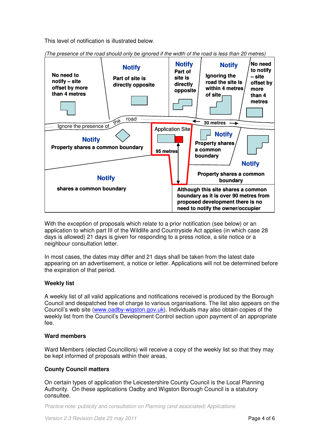This level of notification is illustrated below.



(The presence of the road should only be ignored if the width of the road is less than 20 metres)

With the exception of proposals which relate to a prior notification (see below) or an application to which part III of the Wildlife and Countryside Act applies (in which case 28 days is allowed) 21 days is given for responding to a press notice, a site notice or a neighbour consultation letter.

In most cases, the dates may differ and 21 days shall be taken from the latest date appearing on an advertisement, a notice or letter. Applications will not be determined before the expiration of that period.

# **Weekly list**

A weekly list of all valid applications and notifications received is produced by the Borough Council and despatched free of charge to various organisations. The list also appears on the Council's web site (www.oadby-wigston.gov.uk). Individuals may also obtain copies of the weekly list from the Council's Development Control section upon payment of an appropriate fee.

# **Ward members**

Ward Members (elected Councillors) will receive a copy of the weekly list so that they may be kept informed of proposals within their areas.

# **County Council matters**

On certain types of application the Leicestershire County Council is the Local Planning Authority. On these applications Oadby and Wigston Borough Council is a statutory consultee.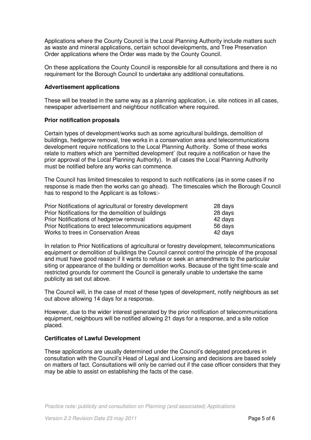Applications where the County Council is the Local Planning Authority include matters such as waste and mineral applications, certain school developments, and Tree Preservation Order applications where the Order was made by the County Council.

On these applications the County Council is responsible for all consultations and there is no requirement for the Borough Council to undertake any additional consultations.

### **Advertisement applications**

These will be treated in the same way as a planning application, i.e. site notices in all cases, newspaper advertisement and neighbour notification where required.

#### **Prior notification proposals**

Certain types of development/works such as some agricultural buildings, demolition of buildings, hedgerow removal, tree works in a conservation area and telecommunications development require notifications to the Local Planning Authority. Some of these works relate to matters which are 'permitted development' (but require a notification or have the prior approval of the Local Planning Authority). In all cases the Local Planning Authority must be notified before any works can commence.

The Council has limited timescales to respond to such notifications (as in some cases if no response is made then the works can go ahead). The timescales which the Borough Council has to respond to the Applicant is as follows:-

| Prior Notifications of agricultural or forestry development | 28 days |
|-------------------------------------------------------------|---------|
| Prior Notifications for the demolition of buildings         | 28 days |
| Prior Notifications of hedgerow removal                     | 42 days |
| Prior Notifications to erect telecommunications equipment   | 56 days |
| Works to trees in Conservation Areas                        | 42 days |

In relation to Prior Notifications of agricultural or forestry development, telecommunications equipment or demolition of buildings the Council cannot control the principle of the proposal and must have good reason if it wants to refuse or seek an amendments to the particular siting or appearance of the building or demolition works. Because of the tight time-scale and restricted grounds for comment the Council is generally unable to undertake the same publicity as set out above.

The Council will, in the case of most of these types of development, notify neighbours as set out above allowing 14 days for a response.

However, due to the wider interest generated by the prior notification of telecommunications equipment, neighbours will be notified allowing 21 days for a response, and a site notice placed.

# **Certificates of Lawful Development**

These applications are usually determined under the Council's delegated procedures in consultation with the Council's Head of Legal and Licensing and decisions are based solely on matters of fact. Consultations will only be carried out if the case officer considers that they may be able to assist on establishing the facts of the case.